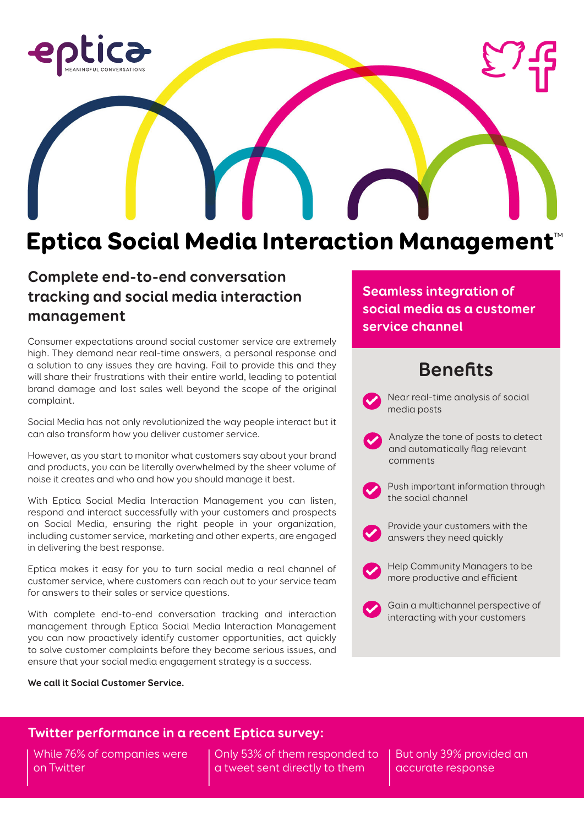

# Eptica Social Media Interaction Management™

### **Complete end-to-end conversation tracking and social media interaction management**

Consumer expectations around social customer service are extremely high. They demand near real-time answers, a personal response and a solution to any issues they are having. Fail to provide this and they will share their frustrations with their entire world, leading to potential brand damage and lost sales well beyond the scope of the original complaint.

Social Media has not only revolutionized the way people interact but it can also transform how you deliver customer service.

However, as you start to monitor what customers say about your brand and products, you can be literally overwhelmed by the sheer volume of noise it creates and who and how you should manage it best.

With Eptica Social Media Interaction Management you can listen, respond and interact successfully with your customers and prospects on Social Media, ensuring the right people in your organization, including customer service, marketing and other experts, are engaged in delivering the best response.

Eptica makes it easy for you to turn social media a real channel of customer service, where customers can reach out to your service team for answers to their sales or service questions.

With complete end-to-end conversation tracking and interaction management through Eptica Social Media Interaction Management you can now proactively identify customer opportunities, act quickly to solve customer complaints before they become serious issues, and ensure that your social media engagement strategy is a success.

**We call it Social Customer Service.**

**Seamless integration of social media as a customer service channel**

# **Benefits**

Near real-time analysis of social media posts

- Analyze the tone of posts to detect and automatically flag relevant comments
- Push important information through the social channel
- Provide your customers with the answers they need quickly
- Help Community Managers to be more productive and efficient
- Gain a multichannel perspective of interacting with your customers

### **Twitter performance in a recent Eptica survey:**

While 76% of companies were on Twitter

Only 53% of them responded to a tweet sent directly to them

But only 39% provided an accurate response